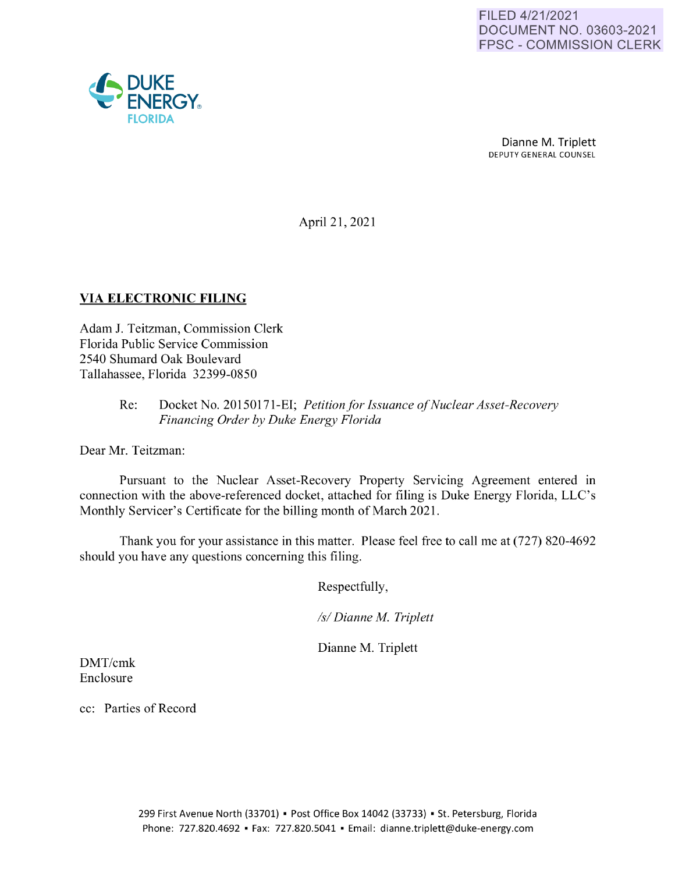

April 21, 2021

## **VIA ELECTRONIC FILING**

Adam J. Teitzman, Commission Clerk Florida Public Service Commission 2540 Shumard Oak Boulevard Tallahassee, Florida 32399-0850

## Re: Docket No. 20150171-EI; *Petition for Issuance of Nuclear Asset-Recovery Financing Order by Duke Energy Florida*

Dear Mr. Teitzman:

Pursuant to the Nuclear Asset-Recovery Property Servicing Agreement entered in connection with the above-referenced docket, attached for filing is Duke Energy Florida, LLC's Monthly Servicer's Certificate for the billing month of March 2021.

Thank you for your assistance in this matter. Please feel free to call me at (727) 820-4692 should you have any questions concerning this filing.

Respectfully,

*Isl Dianne M Triplett* 

Dianne M. Triplett

DMT/crnk Enclosure

cc: Parties of Record

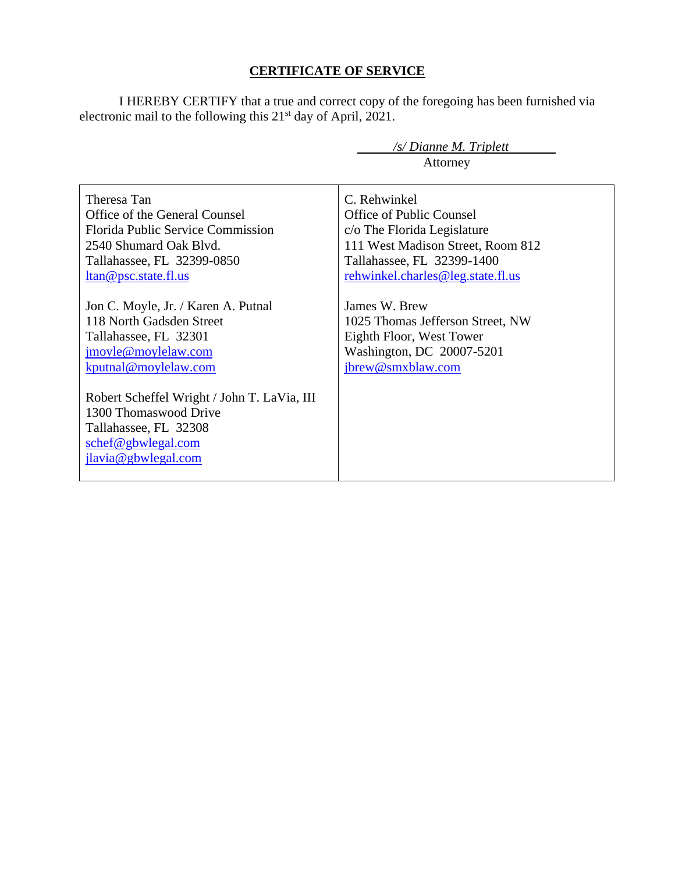# **CERTIFICATE OF SERVICE**

I HEREBY CERTIFY that a true and correct copy of the foregoing has been furnished via electronic mail to the following this 21<sup>st</sup> day of April, 2021.

|                                                                                                                                                                                                                                                                                                                                                                                                                                                            | /s/ Dianne M. Triplett<br>Attorney                                                                                                                                                                                                                                                                                        |
|------------------------------------------------------------------------------------------------------------------------------------------------------------------------------------------------------------------------------------------------------------------------------------------------------------------------------------------------------------------------------------------------------------------------------------------------------------|---------------------------------------------------------------------------------------------------------------------------------------------------------------------------------------------------------------------------------------------------------------------------------------------------------------------------|
| Theresa Tan<br>Office of the General Counsel<br>Florida Public Service Commission<br>2540 Shumard Oak Blvd.<br>Tallahassee, FL 32399-0850<br>ltan@psc.state.fl.us<br>Jon C. Moyle, Jr. / Karen A. Putnal<br>118 North Gadsden Street<br>Tallahassee, FL 32301<br>jmoyle@moylelaw.com<br>kputnal@moylelaw.com<br>Robert Scheffel Wright / John T. LaVia, III<br>1300 Thomaswood Drive<br>Tallahassee, FL 32308<br>schef@gbwlegal.com<br>jlavia@gbwlegal.com | C. Rehwinkel<br><b>Office of Public Counsel</b><br>c/o The Florida Legislature<br>111 West Madison Street, Room 812<br>Tallahassee, FL 32399-1400<br>rehwinkel.charles@leg.state.fl.us<br>James W. Brew<br>1025 Thomas Jefferson Street, NW<br>Eighth Floor, West Tower<br>Washington, DC 20007-5201<br>jbrew@smxblaw.com |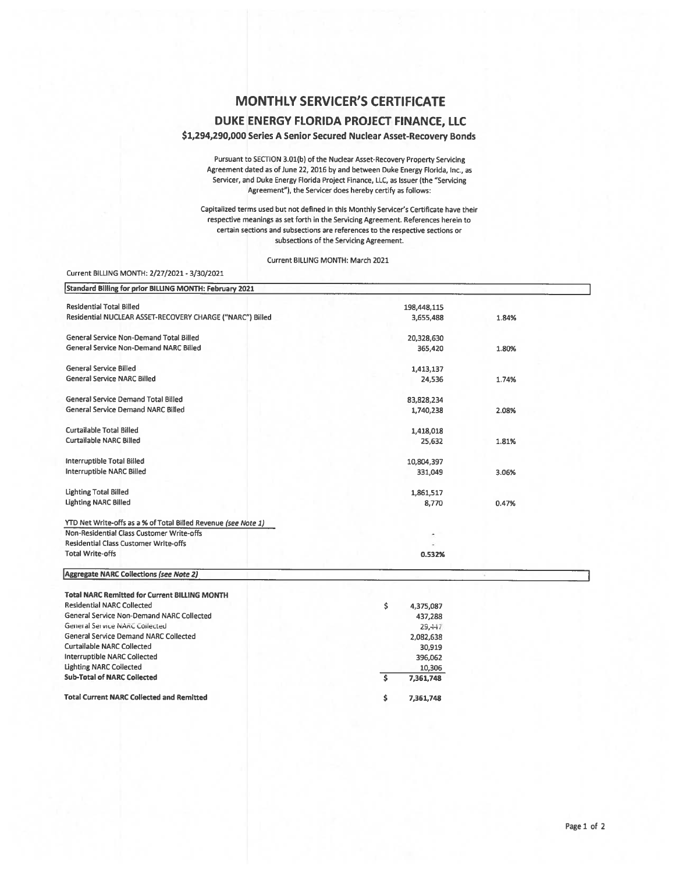### **MONTHLY SERVICER'S CERTIFICATE**

#### **DUKE ENERGY FLORIDA PROJECT FINANCE, LLC**

**\$1,294,290,000 Series A Senior Secured Nuclear Asset-Recovery Bonds** 

Pursuant to SECTION 3.0l(b) of the Nuclear Asset-Recovery Property Servicing Agreement dated as of June 22, 2016 by and between Duke Energy Florida, Inc., as Servicer, and Duke Energy Florida Project Finance, LLC, as Issuer (the "Servicing Agreement"), the Servicer does hereby certify as follows:

Capitalized terms used but not defined in this Monthly Servicer's Certificate have their respective meanings as set forth in the Servicing Agreement. References herein to certain sections and subsections are references to the respective sections or subsections of the Servicing Agreement.

Current BILLING MONTH: March 2021

#### Current BILLING MONTH: 2/27/2021- 3/30/2021

| Standard Billing for prior BILLING MONTH: February 2021        |             |       |
|----------------------------------------------------------------|-------------|-------|
| <b>Residential Total Billed</b>                                | 198,448,115 |       |
| Residential NUCLEAR ASSET-RECOVERY CHARGE ("NARC") Billed      | 3,655,488   | 1.84% |
| General Service Non-Demand Total Billed                        | 20,328,630  |       |
| General Service Non-Demand NARC Billed                         | 365,420     | 1.80% |
| General Service Billed                                         | 1,413,137   |       |
| <b>General Service NARC Billed</b>                             | 24,536      | 1.74% |
| General Service Demand Total Billed                            | 83,828,234  |       |
| General Service Demand NARC Billed                             | 1,740,238   | 2.08% |
| Curtailable Total Billed                                       | 1,418,018   |       |
| <b>Curtailable NARC Billed</b>                                 | 25,632      | 1.81% |
| Interruptible Total Billed                                     | 10,804,397  |       |
| Interruptible NARC Billed                                      | 331,049     | 3.06% |
| <b>Lighting Total Billed</b>                                   | 1,861,517   |       |
| <b>Lighting NARC Billed</b>                                    | 8,770       | 0.47% |
| YTD Net Write-offs as a % of Total Billed Revenue (see Note 1) |             |       |
| Non-Residential Class Customer Write-offs                      |             |       |
| <b>Residential Class Customer Write-offs</b>                   |             |       |
| <b>Total Write-offs</b>                                        | 0.532%      |       |
| Aggregate NARC Collections (see Note 2)                        |             |       |
| <b>Total NARC Remitted for Current BILLING MONTH</b>           |             |       |

| <b>Residential NARC Collected</b>                | \$<br>4,375,087 |
|--------------------------------------------------|-----------------|
| General Service Non-Demand NARC Collected        | 437,288         |
| General Service NAnc collected                   | 29.447          |
| General Service Demand NARC Collected            | 2,082,638       |
| <b>Curtailable NARC Collected</b>                | 30.919          |
| Interruptible NARC Collected                     | 396.062         |
| <b>Lighting NARC Collected</b>                   | 10,306          |
| <b>Sub-Total of NARC Collected</b>               | 7,361,748       |
| <b>Total Current NARC Collected and Remitted</b> | 7,361,748       |